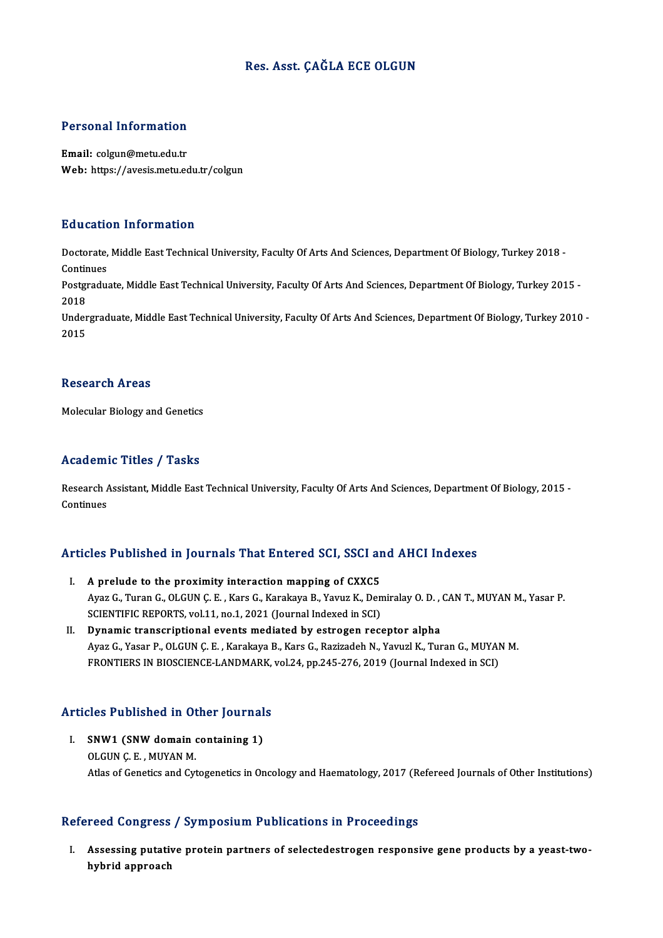## Res. Asst. ÇAĞLA ECE OLGUN

## Personal Information

Email: colgun@metu.edu.tr Web: https://avesis.metu.edu.tr/colgun

## Education Information

**Education Information**<br>Doctorate, Middle East Technical University, Faculty Of Arts And Sciences, Department Of Biology, Turkey 2018 -<br>Continues Doctorate,<br>Continues<br>Postaredus Doctorate, Middle East Technical University, Faculty Of Arts And Sciences, Department Of Biology, Turkey 2018 -<br>Continues<br>Postgraduate, Middle East Technical University, Faculty Of Arts And Sciences, Department Of Biology,

Conti<mark>r</mark><br>Postgi<br>2018<br>Under Postgraduate, Middle East Technical University, Faculty Of Arts And Sciences, Department Of Biology, Turkey 2015 -<br>2018<br>Undergraduate, Middle East Technical University, Faculty Of Arts And Sciences, Department Of Biology,

2018<br>Undergraduate, Middle East Technical University, Faculty Of Arts And Sciences, Department Of Biology, Turkey 2010 -<br>2015

### **Research Areas**

Molecular Biology and Genetics

## Academic Titles / Tasks

Academic Titles / Tasks<br>Research Assistant, Middle East Technical University, Faculty Of Arts And Sciences, Department Of Biology, 2015 -<br>Continues Research A<br>Continues

# Articles Published in Journals That Entered SCI, SSCI and AHCI Indexes

- Tricles Published in Journals That Entered SCI, SSCI and I.<br>I. A prelude to the proximity interaction mapping of CXXC5<br>Aver C. Turen C. OLGIN C. E. Kare G. Karakaye B. Varme K. Den A prelude to the proximity interaction mapping of CXXC5<br>Ayaz G., Turan G., OLGUN Ç. E. , Kars G., Karakaya B., Yavuz K., Demiralay O. D. , CAN T., MUYAN M., Yasar P.<br>SCIENTIEIC PEPOPTS yol 11, no.1, 2021 (Journal Indoved i A prelude to the proximity interaction mapping of CXXC5<br>Ayaz G., Turan G., OLGUN Ç. E. , Kars G., Karakaya B., Yavuz K., Den<br>SCIENTIFIC REPORTS, vol.11, no.1, 2021 (Journal Indexed in SCI)<br>Punamia transcriptional events mo Ayaz G., Turan G., OLGUN Ç. E., Kars G., Karakaya B., Yavuz K., Demiralay O. D.,<br>SCIENTIFIC REPORTS, vol.11, no.1, 2021 (Journal Indexed in SCI)<br>II. Dynamic transcriptional events mediated by estrogen receptor alpha<br>Ayaz C
- SCIENTIFIC REPORTS, vol.11, no.1, 2021 (Journal Indexed in SCI)<br>II. Dynamic transcriptional events mediated by estrogen receptor alpha<br>Ayaz G., Yasar P., OLGUN Ç. E. , Karakaya B., Kars G., Razizadeh N., Yavuzl K., Tur FRONTIERS IN BIOSCIENCE-LANDMARK, vol.24, pp.245-276, 2019 (Journal Indexed in SCI)

# Articles Published in Other Journals

**Tricles Published in Other Journal<br>I. SNW1 (SNW domain containing 1)**<br>OLGUN C E MUVAN M I. SNW1 (SNW domain containing 1)<br>OLGUN C. E., MUYAN M. Atlas of Genetics and Cytogenetics in Oncology and Haematology, 2017 (Refereed Journals of Other Institutions)

## Refereed Congress / Symposium Publications in Proceedings

I. Assessing putative protein partners of selectedestrogen responsive gene products by a yeast-twohybrid approach